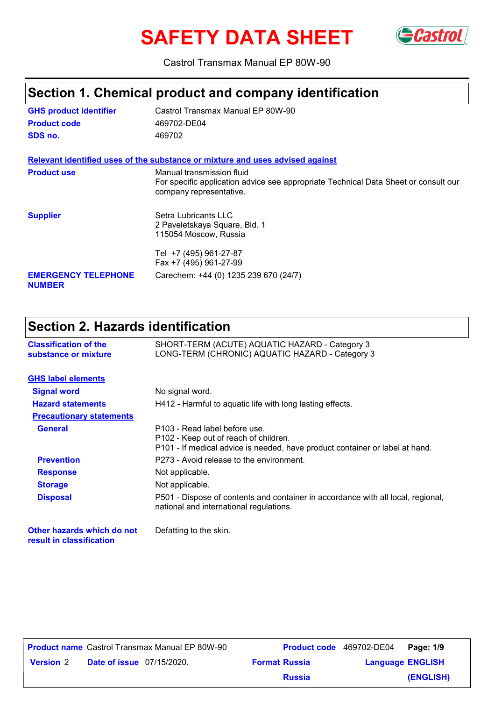# **SAFETY DATA SHEET** Gastrol



Castrol Transmax Manual EP 80W-90

### **Section 1. Chemical product and company identification**

| <b>GHS product identifier</b>               | Castrol Transmax Manual EP 80W-90                                                                                                           |
|---------------------------------------------|---------------------------------------------------------------------------------------------------------------------------------------------|
| <b>Product code</b>                         | 469702-DE04                                                                                                                                 |
| SDS no.                                     | 469702                                                                                                                                      |
|                                             | Relevant identified uses of the substance or mixture and uses advised against                                                               |
| <b>Product use</b>                          | Manual transmission fluid<br>For specific application advice see appropriate Technical Data Sheet or consult our<br>company representative. |
| <b>Supplier</b>                             | Setra Lubricants LLC<br>2 Paveletskaya Square, Bld. 1<br>115054 Moscow, Russia                                                              |
|                                             | Tel +7 (495) 961-27-87<br>Fax +7 (495) 961-27-99                                                                                            |
| <b>EMERGENCY TELEPHONE</b><br><b>NUMBER</b> | Carechem: +44 (0) 1235 239 670 (24/7)                                                                                                       |

# **Section 2. Hazards identification**

| <b>Classification of the</b><br>substance or mixture   | SHORT-TERM (ACUTE) AQUATIC HAZARD - Category 3<br>LONG-TERM (CHRONIC) AQUATIC HAZARD - Category 3                                                                  |
|--------------------------------------------------------|--------------------------------------------------------------------------------------------------------------------------------------------------------------------|
| <b>GHS label elements</b>                              |                                                                                                                                                                    |
| <b>Signal word</b>                                     | No signal word.                                                                                                                                                    |
| <b>Hazard statements</b>                               | H412 - Harmful to aquatic life with long lasting effects.                                                                                                          |
| <b>Precautionary statements</b>                        |                                                                                                                                                                    |
| <b>General</b>                                         | P103 - Read label before use.<br>P <sub>102</sub> - Keep out of reach of children.<br>P101 - If medical advice is needed, have product container or label at hand. |
| <b>Prevention</b>                                      | P273 - Avoid release to the environment.                                                                                                                           |
| <b>Response</b>                                        | Not applicable.                                                                                                                                                    |
| <b>Storage</b>                                         | Not applicable.                                                                                                                                                    |
| <b>Disposal</b>                                        | P501 - Dispose of contents and container in accordance with all local, regional,<br>national and international regulations.                                        |
| Other hazards which do not<br>result in classification | Defatting to the skin.                                                                                                                                             |

| <b>Product name</b> Castrol Transmax Manual EP 80W-90 |  |                      | Product code 469702-DE04 Page: 1/9 |  |           |
|-------------------------------------------------------|--|----------------------|------------------------------------|--|-----------|
| <b>Date of issue</b> 07/15/2020.<br><b>Version</b> 2  |  | <b>Format Russia</b> | <b>Language ENGLISH</b>            |  |           |
|                                                       |  |                      | <b>Russia</b>                      |  | (ENGLISH) |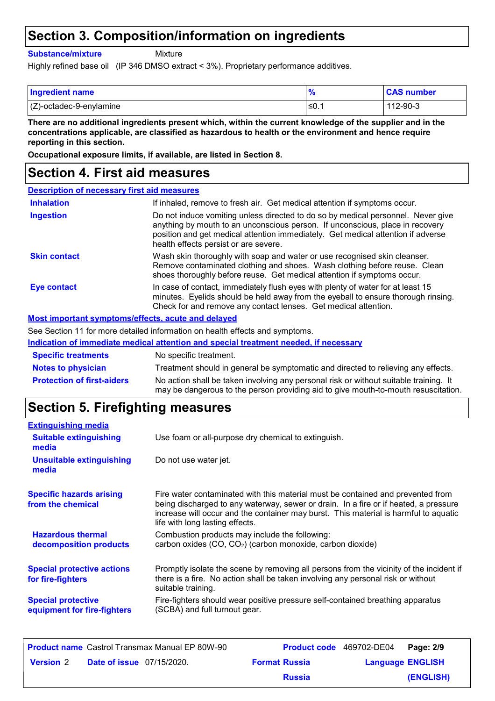### **Section 3. Composition/information on ingredients**

**Substance/mixture**

Mixture

Highly refined base oil (IP 346 DMSO extract < 3%). Proprietary performance additives.

| <b>Ingredient name</b>     | $\frac{9}{6}$ | <b>CAS number</b> |
|----------------------------|---------------|-------------------|
| $(Z)$ -octadec-9-enylamine | ≤0.           | 112-90-3          |

**There are no additional ingredients present which, within the current knowledge of the supplier and in the concentrations applicable, are classified as hazardous to health or the environment and hence require reporting in this section.**

**Occupational exposure limits, if available, are listed in Section 8.**

#### **Section 4. First aid measures**

|                     | <b>Description of necessary first aid measures</b>                                                                                                                                                                                                                                             |
|---------------------|------------------------------------------------------------------------------------------------------------------------------------------------------------------------------------------------------------------------------------------------------------------------------------------------|
| <b>Inhalation</b>   | If inhaled, remove to fresh air. Get medical attention if symptoms occur.                                                                                                                                                                                                                      |
| <b>Ingestion</b>    | Do not induce vomiting unless directed to do so by medical personnel. Never give<br>anything by mouth to an unconscious person. If unconscious, place in recovery<br>position and get medical attention immediately. Get medical attention if adverse<br>health effects persist or are severe. |
| <b>Skin contact</b> | Wash skin thoroughly with soap and water or use recognised skin cleanser.<br>Remove contaminated clothing and shoes. Wash clothing before reuse. Clean<br>shoes thoroughly before reuse. Get medical attention if symptoms occur.                                                              |
| <b>Eye contact</b>  | In case of contact, immediately flush eyes with plenty of water for at least 15<br>minutes. Eyelids should be held away from the eyeball to ensure thorough rinsing.<br>Check for and remove any contact lenses. Get medical attention.                                                        |
|                     | Most important symptoms/effects, acute and delayed                                                                                                                                                                                                                                             |
|                     | See Section 11 for more detailed information on health effects and symptoms.                                                                                                                                                                                                                   |
|                     | Indication of immediate medical attention and special treatment needed, if necessary                                                                                                                                                                                                           |

| <b>Specific treatments</b>        | No specific treatment.                                                                                                                                                      |
|-----------------------------------|-----------------------------------------------------------------------------------------------------------------------------------------------------------------------------|
| <b>Notes to physician</b>         | Treatment should in general be symptomatic and directed to relieving any effects.                                                                                           |
| <b>Protection of first-aiders</b> | No action shall be taken involving any personal risk or without suitable training. It<br>may be dangerous to the person providing aid to give mouth-to-mouth resuscitation. |

### **Section 5. Firefighting measures**

| <b>Extinguishing media</b>                               |                                                                                                                                                                                                                                                                                                    |
|----------------------------------------------------------|----------------------------------------------------------------------------------------------------------------------------------------------------------------------------------------------------------------------------------------------------------------------------------------------------|
| <b>Suitable extinguishing</b><br>media                   | Use foam or all-purpose dry chemical to extinguish.                                                                                                                                                                                                                                                |
| <b>Unsuitable extinguishing</b><br>media                 | Do not use water jet.                                                                                                                                                                                                                                                                              |
| <b>Specific hazards arising</b><br>from the chemical     | Fire water contaminated with this material must be contained and prevented from<br>being discharged to any waterway, sewer or drain. In a fire or if heated, a pressure<br>increase will occur and the container may burst. This material is harmful to aquatic<br>life with long lasting effects. |
| <b>Hazardous thermal</b><br>decomposition products       | Combustion products may include the following:<br>carbon oxides (CO, CO <sub>2</sub> ) (carbon monoxide, carbon dioxide)                                                                                                                                                                           |
| <b>Special protective actions</b><br>for fire-fighters   | Promptly isolate the scene by removing all persons from the vicinity of the incident if<br>there is a fire. No action shall be taken involving any personal risk or without<br>suitable training.                                                                                                  |
| <b>Special protective</b><br>equipment for fire-fighters | Fire-fighters should wear positive pressure self-contained breathing apparatus<br>(SCBA) and full turnout gear.                                                                                                                                                                                    |

| <b>Product name</b> Castrol Transmax Manual EP 80W-90 |  |                      | <b>Product code</b> 469702-DE04 Page: 2/9 |  |           |
|-------------------------------------------------------|--|----------------------|-------------------------------------------|--|-----------|
| <b>Date of issue</b> 07/15/2020.<br><b>Version 2</b>  |  | <b>Format Russia</b> | <b>Language ENGLISH</b>                   |  |           |
|                                                       |  |                      | <b>Russia</b>                             |  | (ENGLISH) |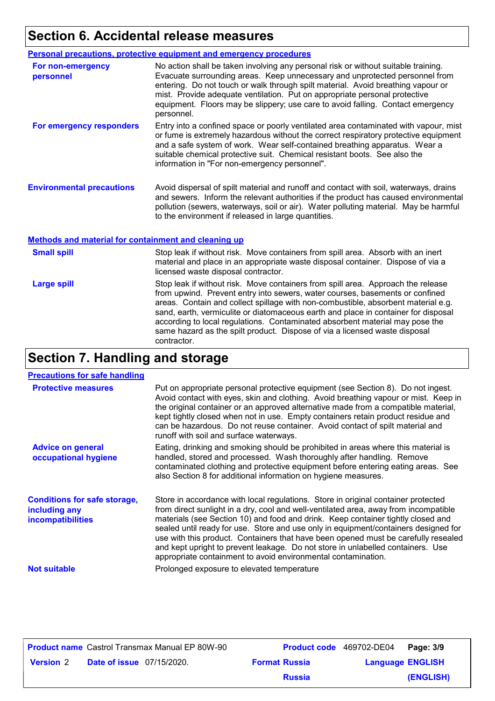### **Section 6. Accidental release measures**

|                                  | <b>Personal precautions, protective equipment and emergency procedures</b>                                                                                                                                                                                                                                                                                                                                                           |
|----------------------------------|--------------------------------------------------------------------------------------------------------------------------------------------------------------------------------------------------------------------------------------------------------------------------------------------------------------------------------------------------------------------------------------------------------------------------------------|
| For non-emergency<br>personnel   | No action shall be taken involving any personal risk or without suitable training.<br>Evacuate surrounding areas. Keep unnecessary and unprotected personnel from<br>entering. Do not touch or walk through spilt material. Avoid breathing vapour or<br>mist. Provide adequate ventilation. Put on appropriate personal protective<br>equipment. Floors may be slippery; use care to avoid falling. Contact emergency<br>personnel. |
| For emergency responders         | Entry into a confined space or poorly ventilated area contaminated with vapour, mist<br>or fume is extremely hazardous without the correct respiratory protective equipment<br>and a safe system of work. Wear self-contained breathing apparatus. Wear a<br>suitable chemical protective suit. Chemical resistant boots. See also the<br>information in "For non-emergency personnel".                                              |
| <b>Environmental precautions</b> | Avoid dispersal of spilt material and runoff and contact with soil, waterways, drains<br>and sewers. Inform the relevant authorities if the product has caused environmental<br>pollution (sewers, waterways, soil or air). Water polluting material. May be harmful<br>to the environment if released in large quantities.                                                                                                          |

#### **Methods and material for containment and cleaning up**

| <b>Small spill</b> | Stop leak if without risk. Move containers from spill area. Absorb with an inert<br>material and place in an appropriate waste disposal container. Dispose of via a<br>licensed waste disposal contractor.                                                                                                                                                                                                                                                                                                               |
|--------------------|--------------------------------------------------------------------------------------------------------------------------------------------------------------------------------------------------------------------------------------------------------------------------------------------------------------------------------------------------------------------------------------------------------------------------------------------------------------------------------------------------------------------------|
| <b>Large spill</b> | Stop leak if without risk. Move containers from spill area. Approach the release<br>from upwind. Prevent entry into sewers, water courses, basements or confined<br>areas. Contain and collect spillage with non-combustible, absorbent material e.g.<br>sand, earth, vermiculite or diatomaceous earth and place in container for disposal<br>according to local regulations. Contaminated absorbent material may pose the<br>same hazard as the spilt product. Dispose of via a licensed waste disposal<br>contractor. |

# **Section 7. Handling and storage**

| <b>Precautions for safe handling</b>                                             |                                                                                                                                                                                                                                                                                                                                                                                                                                                                                                                                                                                                |
|----------------------------------------------------------------------------------|------------------------------------------------------------------------------------------------------------------------------------------------------------------------------------------------------------------------------------------------------------------------------------------------------------------------------------------------------------------------------------------------------------------------------------------------------------------------------------------------------------------------------------------------------------------------------------------------|
| <b>Protective measures</b>                                                       | Put on appropriate personal protective equipment (see Section 8). Do not ingest.<br>Avoid contact with eyes, skin and clothing. Avoid breathing vapour or mist. Keep in<br>the original container or an approved alternative made from a compatible material,<br>kept tightly closed when not in use. Empty containers retain product residue and<br>can be hazardous. Do not reuse container. Avoid contact of spilt material and<br>runoff with soil and surface waterways.                                                                                                                  |
| <b>Advice on general</b><br>occupational hygiene                                 | Eating, drinking and smoking should be prohibited in areas where this material is<br>handled, stored and processed. Wash thoroughly after handling. Remove<br>contaminated clothing and protective equipment before entering eating areas. See<br>also Section 8 for additional information on hygiene measures.                                                                                                                                                                                                                                                                               |
| <b>Conditions for safe storage,</b><br>including any<br><b>incompatibilities</b> | Store in accordance with local regulations. Store in original container protected<br>from direct sunlight in a dry, cool and well-ventilated area, away from incompatible<br>materials (see Section 10) and food and drink. Keep container tightly closed and<br>sealed until ready for use. Store and use only in equipment/containers designed for<br>use with this product. Containers that have been opened must be carefully resealed<br>and kept upright to prevent leakage. Do not store in unlabelled containers. Use<br>appropriate containment to avoid environmental contamination. |
| <b>Not suitable</b>                                                              | Prolonged exposure to elevated temperature                                                                                                                                                                                                                                                                                                                                                                                                                                                                                                                                                     |

| <b>Product name</b> Castrol Transmax Manual EP 80W-90 |                                  |  | <b>Product code</b> 469702-DE04 Page: 3/9 |                         |           |
|-------------------------------------------------------|----------------------------------|--|-------------------------------------------|-------------------------|-----------|
| <b>Version</b> 2                                      | <b>Date of issue</b> 07/15/2020. |  | <b>Format Russia</b>                      | <b>Language ENGLISH</b> |           |
|                                                       |                                  |  | <b>Russia</b>                             |                         | (ENGLISH) |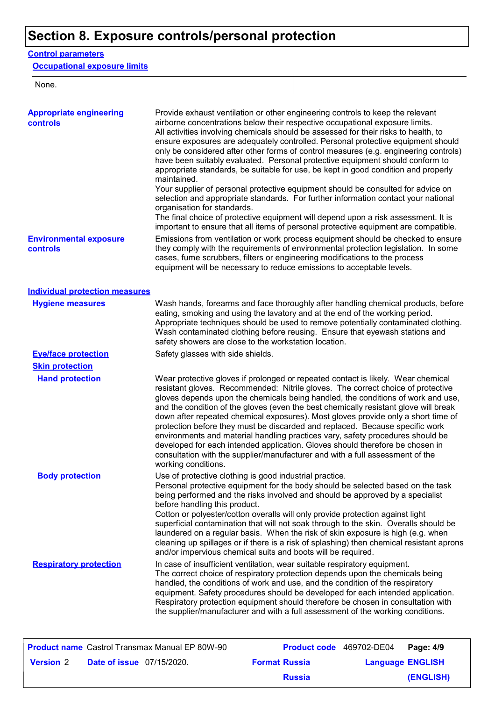# **Section 8. Exposure controls/personal protection**

#### **Control parameters**

**Occupational exposure limits**

None.

| <b>Appropriate engineering</b><br>controls | Provide exhaust ventilation or other engineering controls to keep the relevant<br>airborne concentrations below their respective occupational exposure limits.<br>All activities involving chemicals should be assessed for their risks to health, to<br>ensure exposures are adequately controlled. Personal protective equipment should<br>only be considered after other forms of control measures (e.g. engineering controls)<br>have been suitably evaluated. Personal protective equipment should conform to<br>appropriate standards, be suitable for use, be kept in good condition and properly<br>maintained.<br>Your supplier of personal protective equipment should be consulted for advice on<br>selection and appropriate standards. For further information contact your national<br>organisation for standards.<br>The final choice of protective equipment will depend upon a risk assessment. It is<br>important to ensure that all items of personal protective equipment are compatible. |
|--------------------------------------------|---------------------------------------------------------------------------------------------------------------------------------------------------------------------------------------------------------------------------------------------------------------------------------------------------------------------------------------------------------------------------------------------------------------------------------------------------------------------------------------------------------------------------------------------------------------------------------------------------------------------------------------------------------------------------------------------------------------------------------------------------------------------------------------------------------------------------------------------------------------------------------------------------------------------------------------------------------------------------------------------------------------|
| <b>Environmental exposure</b><br>controls  | Emissions from ventilation or work process equipment should be checked to ensure<br>they comply with the requirements of environmental protection legislation. In some<br>cases, fume scrubbers, filters or engineering modifications to the process<br>equipment will be necessary to reduce emissions to acceptable levels.                                                                                                                                                                                                                                                                                                                                                                                                                                                                                                                                                                                                                                                                                 |
| <b>Individual protection measures</b>      |                                                                                                                                                                                                                                                                                                                                                                                                                                                                                                                                                                                                                                                                                                                                                                                                                                                                                                                                                                                                               |
| <b>Hygiene measures</b>                    | Wash hands, forearms and face thoroughly after handling chemical products, before<br>eating, smoking and using the lavatory and at the end of the working period.<br>Appropriate techniques should be used to remove potentially contaminated clothing.<br>Wash contaminated clothing before reusing. Ensure that eyewash stations and<br>safety showers are close to the workstation location.                                                                                                                                                                                                                                                                                                                                                                                                                                                                                                                                                                                                               |
| <b>Eye/face protection</b>                 | Safety glasses with side shields.                                                                                                                                                                                                                                                                                                                                                                                                                                                                                                                                                                                                                                                                                                                                                                                                                                                                                                                                                                             |
| <b>Skin protection</b>                     |                                                                                                                                                                                                                                                                                                                                                                                                                                                                                                                                                                                                                                                                                                                                                                                                                                                                                                                                                                                                               |
| <b>Hand protection</b>                     | Wear protective gloves if prolonged or repeated contact is likely. Wear chemical<br>resistant gloves. Recommended: Nitrile gloves. The correct choice of protective<br>gloves depends upon the chemicals being handled, the conditions of work and use,<br>and the condition of the gloves (even the best chemically resistant glove will break<br>down after repeated chemical exposures). Most gloves provide only a short time of<br>protection before they must be discarded and replaced. Because specific work<br>environments and material handling practices vary, safety procedures should be<br>developed for each intended application. Gloves should therefore be chosen in<br>consultation with the supplier/manufacturer and with a full assessment of the<br>working conditions.                                                                                                                                                                                                               |
| <b>Body protection</b>                     | Use of protective clothing is good industrial practice.<br>Personal protective equipment for the body should be selected based on the task<br>being performed and the risks involved and should be approved by a specialist<br>before handling this product.<br>Cotton or polyester/cotton overalls will only provide protection against light<br>superficial contamination that will not soak through to the skin. Overalls should be<br>laundered on a regular basis. When the risk of skin exposure is high (e.g. when<br>cleaning up spillages or if there is a risk of splashing) then chemical resistant aprons<br>and/or impervious chemical suits and boots will be required.                                                                                                                                                                                                                                                                                                                         |
| <b>Respiratory protection</b>              | In case of insufficient ventilation, wear suitable respiratory equipment.<br>The correct choice of respiratory protection depends upon the chemicals being<br>handled, the conditions of work and use, and the condition of the respiratory<br>equipment. Safety procedures should be developed for each intended application.<br>Respiratory protection equipment should therefore be chosen in consultation with<br>the supplier/manufacturer and with a full assessment of the working conditions.                                                                                                                                                                                                                                                                                                                                                                                                                                                                                                         |

|                  |                                  | <b>Product name</b> Castrol Transmax Manual EP 80W-90 |                      | Product code 469702-DE04 Page: 4/9 |           |
|------------------|----------------------------------|-------------------------------------------------------|----------------------|------------------------------------|-----------|
| <b>Version 2</b> | <b>Date of issue</b> 07/15/2020. |                                                       | <b>Format Russia</b> | <b>Language ENGLISH</b>            |           |
|                  |                                  |                                                       | <b>Russia</b>        |                                    | (ENGLISH) |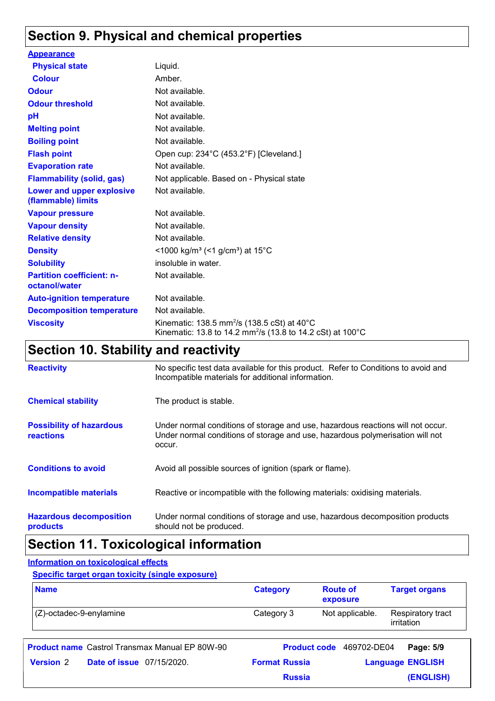### **Section 9. Physical and chemical properties**

| <b>Appearance</b>                                 |                                                                                                                                                        |
|---------------------------------------------------|--------------------------------------------------------------------------------------------------------------------------------------------------------|
| <b>Physical state</b>                             | Liquid.                                                                                                                                                |
| <b>Colour</b>                                     | Amber.                                                                                                                                                 |
| <b>Odour</b>                                      | Not available.                                                                                                                                         |
| <b>Odour threshold</b>                            | Not available.                                                                                                                                         |
| pH                                                | Not available.                                                                                                                                         |
| <b>Melting point</b>                              | Not available.                                                                                                                                         |
| <b>Boiling point</b>                              | Not available.                                                                                                                                         |
| <b>Flash point</b>                                | Open cup: 234°C (453.2°F) [Cleveland.]                                                                                                                 |
| <b>Evaporation rate</b>                           | Not available.                                                                                                                                         |
| <b>Flammability (solid, gas)</b>                  | Not applicable. Based on - Physical state                                                                                                              |
| Lower and upper explosive<br>(flammable) limits   | Not available.                                                                                                                                         |
| <b>Vapour pressure</b>                            | Not available.                                                                                                                                         |
| <b>Vapour density</b>                             | Not available.                                                                                                                                         |
| <b>Relative density</b>                           | Not available.                                                                                                                                         |
| <b>Density</b>                                    | <1000 kg/m <sup>3</sup> (<1 g/cm <sup>3</sup> ) at 15 <sup>°</sup> C                                                                                   |
| <b>Solubility</b>                                 | insoluble in water.                                                                                                                                    |
| <b>Partition coefficient: n-</b><br>octanol/water | Not available.                                                                                                                                         |
| <b>Auto-ignition temperature</b>                  | Not available.                                                                                                                                         |
| <b>Decomposition temperature</b>                  | Not available.                                                                                                                                         |
| <b>Viscosity</b>                                  | Kinematic: 138.5 mm <sup>2</sup> /s (138.5 cSt) at $40^{\circ}$ C<br>Kinematic: 13.8 to 14.2 mm <sup>2</sup> /s (13.8 to 14.2 cSt) at 100 $^{\circ}$ C |

## **Section 10. Stability and reactivity**

| <b>Reactivity</b>                            | No specific test data available for this product. Refer to Conditions to avoid and<br>Incompatible materials for additional information.                                   |
|----------------------------------------------|----------------------------------------------------------------------------------------------------------------------------------------------------------------------------|
| <b>Chemical stability</b>                    | The product is stable.                                                                                                                                                     |
| <b>Possibility of hazardous</b><br>reactions | Under normal conditions of storage and use, hazardous reactions will not occur.<br>Under normal conditions of storage and use, hazardous polymerisation will not<br>occur. |
| <b>Conditions to avoid</b>                   | Avoid all possible sources of ignition (spark or flame).                                                                                                                   |
| <b>Incompatible materials</b>                | Reactive or incompatible with the following materials: oxidising materials.                                                                                                |
| <b>Hazardous decomposition</b><br>products   | Under normal conditions of storage and use, hazardous decomposition products<br>should not be produced.                                                                    |

### **Section 11. Toxicological information**

#### **Information on toxicological effects**

**Specific target organ toxicity (single exposure)**

| <b>Name</b>                | <b>Category</b> | <b>Route of</b><br>exposure | <b>Target organs</b>            |
|----------------------------|-----------------|-----------------------------|---------------------------------|
| $(Z)$ -octadec-9-enylamine | Category 3      | Not applicable.             | Respiratory tract<br>irritation |

| <b>Product name</b> Castrol Transmax Manual EP 80W-90 |                      | <b>Product code</b> 469702-DE04 Page: 5/9 |           |
|-------------------------------------------------------|----------------------|-------------------------------------------|-----------|
| <b>Date of issue</b> 07/15/2020.<br><b>Version 2</b>  | <b>Format Russia</b> | <b>Language ENGLISH</b>                   |           |
|                                                       | <b>Russia</b>        |                                           | (ENGLISH) |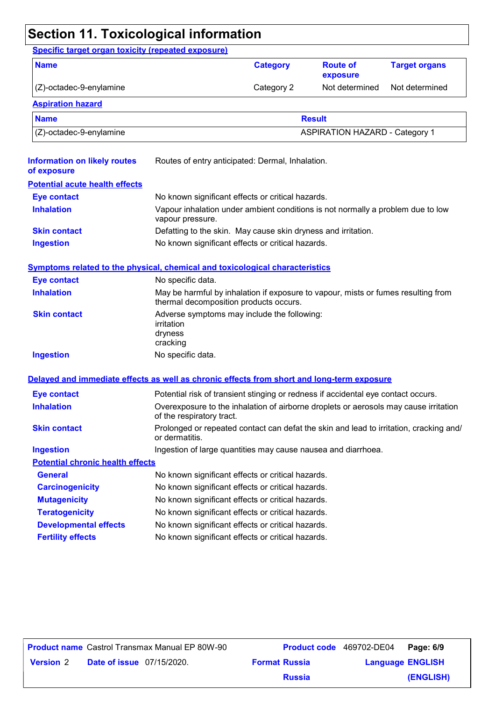# **Section 11. Toxicological information**

| <b>Name</b>                                                                                |                                                                                                                             | <b>Category</b>                                   | <b>Route of</b><br>exposure | <b>Target organs</b> |  |
|--------------------------------------------------------------------------------------------|-----------------------------------------------------------------------------------------------------------------------------|---------------------------------------------------|-----------------------------|----------------------|--|
| (Z)-octadec-9-enylamine                                                                    |                                                                                                                             | Category 2                                        | Not determined              | Not determined       |  |
| <b>Aspiration hazard</b>                                                                   |                                                                                                                             |                                                   |                             |                      |  |
| <b>Name</b>                                                                                |                                                                                                                             |                                                   | <b>Result</b>               |                      |  |
| (Z)-octadec-9-enylamine                                                                    | <b>ASPIRATION HAZARD - Category 1</b>                                                                                       |                                                   |                             |                      |  |
| <b>Information on likely routes</b><br>of exposure                                         | Routes of entry anticipated: Dermal, Inhalation.                                                                            |                                                   |                             |                      |  |
| <b>Potential acute health effects</b>                                                      |                                                                                                                             |                                                   |                             |                      |  |
| <b>Eye contact</b>                                                                         | No known significant effects or critical hazards.                                                                           |                                                   |                             |                      |  |
| <b>Inhalation</b>                                                                          | Vapour inhalation under ambient conditions is not normally a problem due to low<br>vapour pressure.                         |                                                   |                             |                      |  |
| <b>Skin contact</b>                                                                        | Defatting to the skin. May cause skin dryness and irritation.                                                               |                                                   |                             |                      |  |
| <b>Ingestion</b>                                                                           | No known significant effects or critical hazards.                                                                           |                                                   |                             |                      |  |
| <b>Symptoms related to the physical, chemical and toxicological characteristics</b>        |                                                                                                                             |                                                   |                             |                      |  |
| <b>Eye contact</b>                                                                         | No specific data.                                                                                                           |                                                   |                             |                      |  |
| <b>Inhalation</b>                                                                          | May be harmful by inhalation if exposure to vapour, mists or fumes resulting from<br>thermal decomposition products occurs. |                                                   |                             |                      |  |
| <b>Skin contact</b>                                                                        | Adverse symptoms may include the following:<br>irritation<br>dryness<br>cracking                                            |                                                   |                             |                      |  |
| <b>Ingestion</b>                                                                           | No specific data.                                                                                                           |                                                   |                             |                      |  |
| Delayed and immediate effects as well as chronic effects from short and long-term exposure |                                                                                                                             |                                                   |                             |                      |  |
| <b>Eye contact</b>                                                                         | Potential risk of transient stinging or redness if accidental eye contact occurs.                                           |                                                   |                             |                      |  |
| <b>Inhalation</b>                                                                          | Overexposure to the inhalation of airborne droplets or aerosols may cause irritation<br>of the respiratory tract.           |                                                   |                             |                      |  |
| <b>Skin contact</b>                                                                        | Prolonged or repeated contact can defat the skin and lead to irritation, cracking and/<br>or dermatitis.                    |                                                   |                             |                      |  |
| <b>Ingestion</b>                                                                           | Ingestion of large quantities may cause nausea and diarrhoea.                                                               |                                                   |                             |                      |  |
| <b>Potential chronic health effects</b>                                                    |                                                                                                                             |                                                   |                             |                      |  |
| <b>General</b>                                                                             | No known significant effects or critical hazards.                                                                           |                                                   |                             |                      |  |
| <b>Carcinogenicity</b>                                                                     | No known significant effects or critical hazards.                                                                           |                                                   |                             |                      |  |
| <b>Mutagenicity</b>                                                                        |                                                                                                                             | No known significant effects or critical hazards. |                             |                      |  |
| <b>Teratogenicity</b>                                                                      | No known significant effects or critical hazards.                                                                           |                                                   |                             |                      |  |
| <b>Developmental effects</b>                                                               | No known significant effects or critical hazards.                                                                           |                                                   |                             |                      |  |
| <b>Fertility effects</b>                                                                   | No known significant effects or critical hazards.                                                                           |                                                   |                             |                      |  |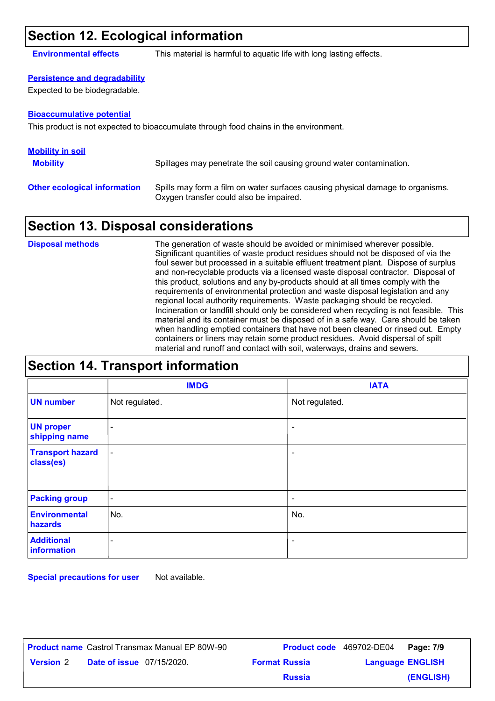#### **Section 12. Ecological information**

**Environmental effects** This material is harmful to aquatic life with long lasting effects.

#### **Persistence and degradability**

Expected to be biodegradable.

#### **Bioaccumulative potential**

This product is not expected to bioaccumulate through food chains in the environment.

| <b>Mobility in soil</b>             |                                                                                                                           |
|-------------------------------------|---------------------------------------------------------------------------------------------------------------------------|
| <b>Mobility</b>                     | Spillages may penetrate the soil causing ground water contamination.                                                      |
| <b>Other ecological information</b> | Spills may form a film on water surfaces causing physical damage to organisms.<br>Oxygen transfer could also be impaired. |

#### **Section 13. Disposal considerations**

The generation of waste should be avoided or minimised wherever possible. Significant quantities of waste product residues should not be disposed of via the foul sewer but processed in a suitable effluent treatment plant. Dispose of surplus and non-recyclable products via a licensed waste disposal contractor. Disposal of this product, solutions and any by-products should at all times comply with the requirements of environmental protection and waste disposal legislation and any regional local authority requirements. Waste packaging should be recycled. Incineration or landfill should only be considered when recycling is not feasible. This material and its container must be disposed of in a safe way. Care should be taken when handling emptied containers that have not been cleaned or rinsed out. Empty containers or liners may retain some product residues. Avoid dispersal of spilt material and runoff and contact with soil, waterways, drains and sewers. **Disposal methods**

|                                      | <b>IMDG</b>              | <b>IATA</b>              |  |
|--------------------------------------|--------------------------|--------------------------|--|
| <b>UN number</b>                     | Not regulated.           | Not regulated.           |  |
| <b>UN proper</b><br>shipping name    | $\overline{\phantom{0}}$ | ۰                        |  |
| <b>Transport hazard</b><br>class(es) |                          | $\overline{\phantom{a}}$ |  |
| <b>Packing group</b>                 | $\overline{\phantom{a}}$ | $\overline{\phantom{a}}$ |  |
| <b>Environmental</b><br>hazards      | No.                      | No.                      |  |
| <b>Additional</b><br>information     | $\overline{\phantom{0}}$ | ۰                        |  |

**Special precautions for user** Not available.

|                  |                                  | <b>Product name</b> Castrol Transmax Manual EP 80W-90 |                      | <b>Product code</b> 469702-DE04 | Page: 7/9 |
|------------------|----------------------------------|-------------------------------------------------------|----------------------|---------------------------------|-----------|
| <b>Version 2</b> | <b>Date of issue</b> 07/15/2020. |                                                       | <b>Format Russia</b> | <b>Language ENGLISH</b>         |           |
|                  |                                  |                                                       | <b>Russia</b>        |                                 | (ENGLISH) |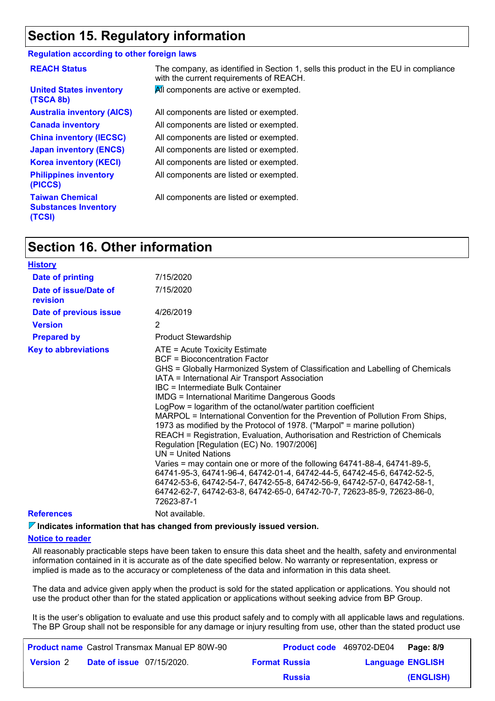#### **Section 15. Regulatory information**

#### **Regulation according to other foreign laws**

| <b>REACH Status</b>                                             | The company, as identified in Section 1, sells this product in the EU in compliance<br>with the current requirements of REACH. |
|-----------------------------------------------------------------|--------------------------------------------------------------------------------------------------------------------------------|
| <b>United States inventory</b><br>(TSCA 8b)                     | All components are active or exempted.                                                                                         |
| <b>Australia inventory (AICS)</b>                               | All components are listed or exempted.                                                                                         |
| <b>Canada inventory</b>                                         | All components are listed or exempted.                                                                                         |
| <b>China inventory (IECSC)</b>                                  | All components are listed or exempted.                                                                                         |
| <b>Japan inventory (ENCS)</b>                                   | All components are listed or exempted.                                                                                         |
| <b>Korea inventory (KECI)</b>                                   | All components are listed or exempted.                                                                                         |
| <b>Philippines inventory</b><br>(PICCS)                         | All components are listed or exempted.                                                                                         |
| <b>Taiwan Chemical</b><br><b>Substances Inventory</b><br>(TCSI) | All components are listed or exempted.                                                                                         |

#### **Section 16. Other information**

| <b>History</b>                    |                                                                                                                                                                                                                                                                                                                                                                                                                                                                                                                                                                                                                                                                                                                                                                                                                                                                                                                                                                                                                |
|-----------------------------------|----------------------------------------------------------------------------------------------------------------------------------------------------------------------------------------------------------------------------------------------------------------------------------------------------------------------------------------------------------------------------------------------------------------------------------------------------------------------------------------------------------------------------------------------------------------------------------------------------------------------------------------------------------------------------------------------------------------------------------------------------------------------------------------------------------------------------------------------------------------------------------------------------------------------------------------------------------------------------------------------------------------|
| <b>Date of printing</b>           | 7/15/2020                                                                                                                                                                                                                                                                                                                                                                                                                                                                                                                                                                                                                                                                                                                                                                                                                                                                                                                                                                                                      |
| Date of issue/Date of<br>revision | 7/15/2020                                                                                                                                                                                                                                                                                                                                                                                                                                                                                                                                                                                                                                                                                                                                                                                                                                                                                                                                                                                                      |
| Date of previous issue            | 4/26/2019                                                                                                                                                                                                                                                                                                                                                                                                                                                                                                                                                                                                                                                                                                                                                                                                                                                                                                                                                                                                      |
| <b>Version</b>                    | 2                                                                                                                                                                                                                                                                                                                                                                                                                                                                                                                                                                                                                                                                                                                                                                                                                                                                                                                                                                                                              |
| <b>Prepared by</b>                | <b>Product Stewardship</b>                                                                                                                                                                                                                                                                                                                                                                                                                                                                                                                                                                                                                                                                                                                                                                                                                                                                                                                                                                                     |
| <b>Key to abbreviations</b>       | ATE = Acute Toxicity Estimate<br>BCF = Bioconcentration Factor<br>GHS = Globally Harmonized System of Classification and Labelling of Chemicals<br>IATA = International Air Transport Association<br>IBC = Intermediate Bulk Container<br><b>IMDG = International Maritime Dangerous Goods</b><br>LogPow = logarithm of the octanol/water partition coefficient<br>MARPOL = International Convention for the Prevention of Pollution From Ships,<br>1973 as modified by the Protocol of 1978. ("Marpol" = marine pollution)<br>REACH = Registration, Evaluation, Authorisation and Restriction of Chemicals<br>Regulation [Regulation (EC) No. 1907/2006]<br>$UN = United Nations$<br>Varies = may contain one or more of the following 64741-88-4, 64741-89-5,<br>64741-95-3, 64741-96-4, 64742-01-4, 64742-44-5, 64742-45-6, 64742-52-5,<br>64742-53-6, 64742-54-7, 64742-55-8, 64742-56-9, 64742-57-0, 64742-58-1,<br>64742-62-7, 64742-63-8, 64742-65-0, 64742-70-7, 72623-85-9, 72623-86-0,<br>72623-87-1 |
| <b>References</b>                 | Not available.                                                                                                                                                                                                                                                                                                                                                                                                                                                                                                                                                                                                                                                                                                                                                                                                                                                                                                                                                                                                 |
|                                   |                                                                                                                                                                                                                                                                                                                                                                                                                                                                                                                                                                                                                                                                                                                                                                                                                                                                                                                                                                                                                |

**Indicates information that has changed from previously issued version.**

#### **Notice to reader**

All reasonably practicable steps have been taken to ensure this data sheet and the health, safety and environmental information contained in it is accurate as of the date specified below. No warranty or representation, express or implied is made as to the accuracy or completeness of the data and information in this data sheet.

The data and advice given apply when the product is sold for the stated application or applications. You should not use the product other than for the stated application or applications without seeking advice from BP Group.

It is the user's obligation to evaluate and use this product safely and to comply with all applicable laws and regulations. The BP Group shall not be responsible for any damage or injury resulting from use, other than the stated product use

| <b>Product name</b> Castrol Transmax Manual EP 80W-90 |                                  |  |                      | <b>Product code</b> 469702-DE04 Page: 8/9 |           |
|-------------------------------------------------------|----------------------------------|--|----------------------|-------------------------------------------|-----------|
| <b>Version</b> 2                                      | <b>Date of issue</b> 07/15/2020. |  | <b>Format Russia</b> | <b>Language ENGLISH</b>                   |           |
|                                                       |                                  |  | <b>Russia</b>        |                                           | (ENGLISH) |